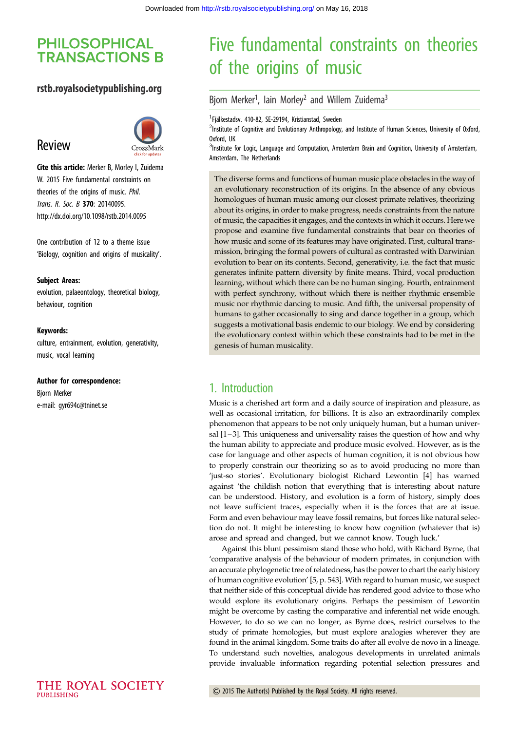# **PHILOSOPHICAL TRANSACTIONS B**

#### rstb.royalsocietypublishing.org

# Review



Cite this article: Merker B, Morley I, Zuidema W. 2015 Five fundamental constraints on theories of the origins of music. Phil. Trans. R. Soc. B 370: 20140095. http://dx.doi.org/10.1098/rstb.2014.0095

One contribution of 12 to a theme issue 'Biology, cognition and origins of musicality'.

#### Subject Areas:

evolution, palaeontology, theoretical biology, behaviour, cognition

#### Keywords:

culture, entrainment, evolution, generativity, music, vocal learning

#### Author for correspondence:

Bjorn Merker e-mail: [gyr694c@tninet.se](mailto:gyr694c@tninet.se)

# Five fundamental constraints on theories of the origins of music

#### Bjorn Merker<sup>1</sup>, lain Morley<sup>2</sup> and Willem Zuidema<sup>3</sup>

<sup>1</sup>Fjälkestadsv. 410-82, SE-29194, Kristianstad, Sweden

<sup>2</sup>Institute of Cognitive and Evolutionary Anthropology, and Institute of Human Sciences, University of Oxford, Oxford, UK

<sup>3</sup>Institute for Logic, Language and Computation, Amsterdam Brain and Cognition, University of Amsterdam, Amsterdam, The Netherlands

The diverse forms and functions of human music place obstacles in the way of an evolutionary reconstruction of its origins. In the absence of any obvious homologues of human music among our closest primate relatives, theorizing about its origins, in order to make progress, needs constraints from the nature of music, the capacities it engages, and the contexts in which it occurs. Here we propose and examine five fundamental constraints that bear on theories of how music and some of its features may have originated. First, cultural transmission, bringing the formal powers of cultural as contrasted with Darwinian evolution to bear on its contents. Second, generativity, i.e. the fact that music generates infinite pattern diversity by finite means. Third, vocal production learning, without which there can be no human singing. Fourth, entrainment with perfect synchrony, without which there is neither rhythmic ensemble music nor rhythmic dancing to music. And fifth, the universal propensity of humans to gather occasionally to sing and dance together in a group, which suggests a motivational basis endemic to our biology. We end by considering the evolutionary context within which these constraints had to be met in the genesis of human musicality.

### 1. Introduction

Music is a cherished art form and a daily source of inspiration and pleasure, as well as occasional irritation, for billions. It is also an extraordinarily complex phenomenon that appears to be not only uniquely human, but a human univer-sal [\[1](#page-8-0)-[3](#page-8-0)]. This uniqueness and universality raises the question of how and why the human ability to appreciate and produce music evolved. However, as is the case for language and other aspects of human cognition, it is not obvious how to properly constrain our theorizing so as to avoid producing no more than 'just-so stories'. Evolutionary biologist Richard Lewontin [\[4\]](#page-8-0) has warned against 'the childish notion that everything that is interesting about nature can be understood. History, and evolution is a form of history, simply does not leave sufficient traces, especially when it is the forces that are at issue. Form and even behaviour may leave fossil remains, but forces like natural selection do not. It might be interesting to know how cognition (whatever that is) arose and spread and changed, but we cannot know. Tough luck.'

Against this blunt pessimism stand those who hold, with Richard Byrne, that 'comparative analysis of the behaviour of modern primates, in conjunction with an accurate phylogenetic tree of relatedness, has the power to chart the early history of human cognitive evolution' [[5](#page-8-0), p. 543]. With regard to human music, we suspect that neither side of this conceptual divide has rendered good advice to those who would explore its evolutionary origins. Perhaps the pessimism of Lewontin might be overcome by casting the comparative and inferential net wide enough. However, to do so we can no longer, as Byrne does, restrict ourselves to the study of primate homologies, but must explore analogies wherever they are found in the animal kingdom. Some traits do after all evolve de novo in a lineage. To understand such novelties, analogous developments in unrelated animals provide invaluable information regarding potential selection pressures and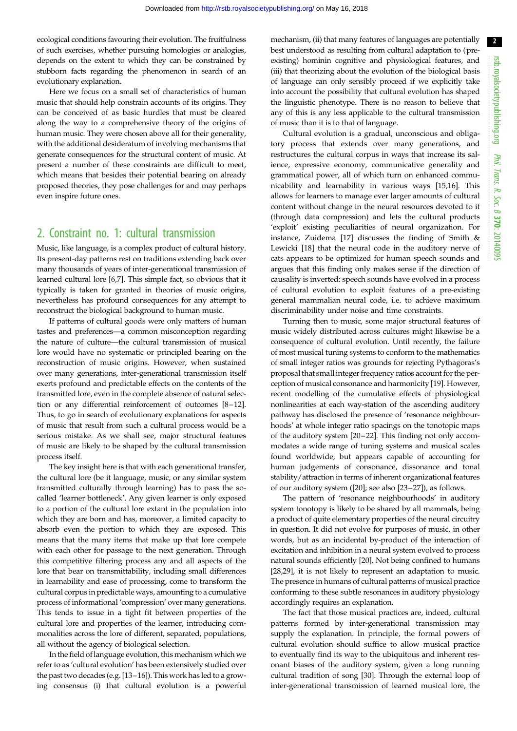ecological conditions favouring their evolution. The fruitfulness of such exercises, whether pursuing homologies or analogies, depends on the extent to which they can be constrained by stubborn facts regarding the phenomenon in search of an evolutionary explanation.

Here we focus on a small set of characteristics of human music that should help constrain accounts of its origins. They can be conceived of as basic hurdles that must be cleared along the way to a comprehensive theory of the origins of human music. They were chosen above all for their generality, with the additional desideratum of involving mechanisms that generate consequences for the structural content of music. At present a number of these constraints are difficult to meet, which means that besides their potential bearing on already proposed theories, they pose challenges for and may perhaps even inspire future ones.

## 2. Constraint no. 1: cultural transmission

Music, like language, is a complex product of cultural history. Its present-day patterns rest on traditions extending back over many thousands of years of inter-generational transmission of learned cultural lore [\[6,7](#page-8-0)]. This simple fact, so obvious that it typically is taken for granted in theories of music origins, nevertheless has profound consequences for any attempt to reconstruct the biological background to human music.

If patterns of cultural goods were only matters of human tastes and preferences—a common misconception regarding the nature of culture—the cultural transmission of musical lore would have no systematic or principled bearing on the reconstruction of music origins. However, when sustained over many generations, inter-generational transmission itself exerts profound and predictable effects on the contents of the transmitted lore, even in the complete absence of natural selection or any differential reinforcement of outcomes [[8](#page-8-0)–[12](#page-9-0)]. Thus, to go in search of evolutionary explanations for aspects of music that result from such a cultural process would be a serious mistake. As we shall see, major structural features of music are likely to be shaped by the cultural transmission process itself.

The key insight here is that with each generational transfer, the cultural lore (be it language, music, or any similar system transmitted culturally through learning) has to pass the socalled 'learner bottleneck'. Any given learner is only exposed to a portion of the cultural lore extant in the population into which they are born and has, moreover, a limited capacity to absorb even the portion to which they are exposed. This means that the many items that make up that lore compete with each other for passage to the next generation. Through this competitive filtering process any and all aspects of the lore that bear on transmittability, including small differences in learnability and ease of processing, come to transform the cultural corpus in predictable ways, amounting to a cumulative process of informational 'compression' over many generations. This tends to issue in a tight fit between properties of the cultural lore and properties of the learner, introducing commonalities across the lore of different, separated, populations, all without the agency of biological selection.

In the field of language evolution, this mechanism which we refer to as 'cultural evolution' has been extensively studied over the past two decades (e.g. [\[13](#page-9-0)–[16](#page-9-0)]). This work has led to a growing consensus (i) that cultural evolution is a powerful mechanism, (ii) that many features of languages are potentially best understood as resulting from cultural adaptation to (preexisting) hominin cognitive and physiological features, and (iii) that theorizing about the evolution of the biological basis of language can only sensibly proceed if we explicitly take into account the possibility that cultural evolution has shaped the linguistic phenotype. There is no reason to believe that any of this is any less applicable to the cultural transmission of music than it is to that of language.

Cultural evolution is a gradual, unconscious and obligatory process that extends over many generations, and restructures the cultural corpus in ways that increase its salience, expressive economy, communicative generality and grammatical power, all of which turn on enhanced communicability and learnability in various ways [\[15](#page-9-0),[16\]](#page-9-0). This allows for learners to manage ever larger amounts of cultural content without change in the neural resources devoted to it (through data compression) and lets the cultural products 'exploit' existing peculiarities of neural organization. For instance, Zuidema [\[17](#page-9-0)] discusses the finding of Smith & Lewicki [\[18](#page-9-0)] that the neural code in the auditory nerve of cats appears to be optimized for human speech sounds and argues that this finding only makes sense if the direction of causality is inverted: speech sounds have evolved in a process of cultural evolution to exploit features of a pre-existing general mammalian neural code, i.e. to achieve maximum discriminability under noise and time constraints.

Turning then to music, some major structural features of music widely distributed across cultures might likewise be a consequence of cultural evolution. Until recently, the failure of most musical tuning systems to conform to the mathematics of small integer ratios was grounds for rejecting Pythagoras's proposal that small integer frequency ratios account for the perception of musical consonance and harmonicity [\[19\]](#page-9-0). However, recent modelling of the cumulative effects of physiological nonlinearities at each way-station of the ascending auditory pathway has disclosed the presence of 'resonance neighbourhoods' at whole integer ratio spacings on the tonotopic maps of the auditory system [\[20](#page-9-0)–[22](#page-9-0)]. This finding not only accommodates a wide range of tuning systems and musical scales found worldwide, but appears capable of accounting for human judgements of consonance, dissonance and tonal stability/attraction in terms of inherent organizational features of our auditory system ([[20\]](#page-9-0); see also [[23](#page-9-0)–[27\]](#page-9-0)), as follows.

The pattern of 'resonance neighbourhoods' in auditory system tonotopy is likely to be shared by all mammals, being a product of quite elementary properties of the neural circuitry in question. It did not evolve for purposes of music, in other words, but as an incidental by-product of the interaction of excitation and inhibition in a neural system evolved to process natural sounds efficiently [\[20](#page-9-0)]. Not being confined to humans [[28,29\]](#page-9-0), it is not likely to represent an adaptation to music. The presence in humans of cultural patterns of musical practice conforming to these subtle resonances in auditory physiology accordingly requires an explanation.

The fact that those musical practices are, indeed, cultural patterns formed by inter-generational transmission may supply the explanation. In principle, the formal powers of cultural evolution should suffice to allow musical practice to eventually find its way to the ubiquitous and inherent resonant biases of the auditory system, given a long running cultural tradition of song [[30\]](#page-9-0). Through the external loop of inter-generational transmission of learned musical lore, the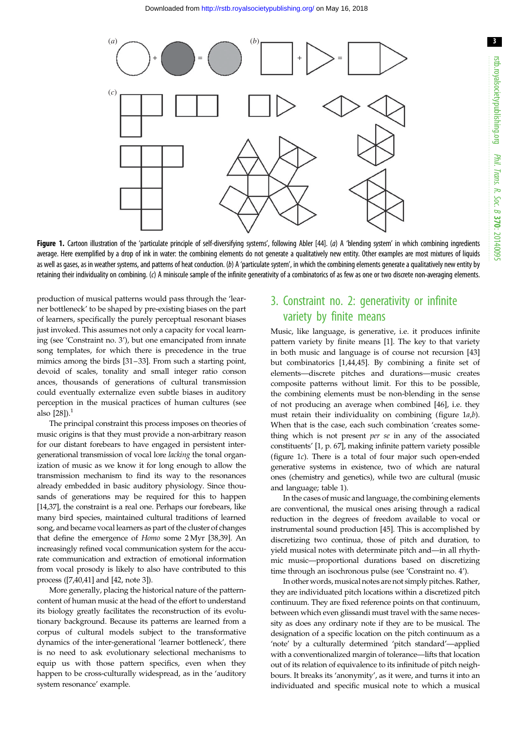

Figure 1. Cartoon illustration of the 'particulate principle of self-diversifying systems', following Abler [[44](#page-9-0)]. (a) A 'blending system' in which combining ingredients average. Here exemplified by a drop of ink in water: the combining elements do not generate a qualitatively new entity. Other examples are most mixtures of liquids as well as gases, as in weather systems, and patterns of heat conduction. (b) A 'particulate system', in which the combining elements generate a qualitatively new entity by retaining their individuality on combining. (c) A miniscule sample of the infinite generativity of a combinatorics of as few as one or two discrete non-averaging elements.

production of musical patterns would pass through the 'learner bottleneck' to be shaped by pre-existing biases on the part of learners, specifically the purely perceptual resonant biases just invoked. This assumes not only a capacity for vocal learning (see 'Constraint no. 3'), but one emancipated from innate song templates, for which there is precedence in the true mimics among the birds [\[31](#page-9-0)–[33](#page-9-0)]. From such a starting point, devoid of scales, tonality and small integer ratio conson ances, thousands of generations of cultural transmission could eventually externalize even subtle biases in auditory perception in the musical practices of human cultures (see also  $[28]$  $[28]$ ).<sup>1</sup>

The principal constraint this process imposes on theories of music origins is that they must provide a non-arbitrary reason for our distant forebears to have engaged in persistent intergenerational transmission of vocal lore lacking the tonal organization of music as we know it for long enough to allow the transmission mechanism to find its way to the resonances already embedded in basic auditory physiology. Since thousands of generations may be required for this to happen [\[14,37](#page-9-0)], the constraint is a real one. Perhaps our forebears, like many bird species, maintained cultural traditions of learned song, and became vocal learners as part of the cluster of changes that define the emergence of Homo some 2 Myr [[38](#page-9-0),[39](#page-9-0)]. An increasingly refined vocal communication system for the accurate communication and extraction of emotional information from vocal prosody is likely to also have contributed to this process ([\[7,](#page-8-0)[40,41\]](#page-9-0) and [\[42,](#page-9-0) note 3]).

More generally, placing the historical nature of the patterncontent of human music at the head of the effort to understand its biology greatly facilitates the reconstruction of its evolutionary background. Because its patterns are learned from a corpus of cultural models subject to the transformative dynamics of the inter-generational 'learner bottleneck', there is no need to ask evolutionary selectional mechanisms to equip us with those pattern specifics, even when they happen to be cross-culturally widespread, as in the 'auditory system resonance' example.

# 3. Constraint no. 2: generativity or infinite variety by finite means

Music, like language, is generative, i.e. it produces infinite pattern variety by finite means [\[1\]](#page-8-0). The key to that variety in both music and language is of course not recursion [[43\]](#page-9-0) but combinatorics [[1](#page-8-0)[,44,45](#page-9-0)]. By combining a finite set of elements—discrete pitches and durations—music creates composite patterns without limit. For this to be possible, the combining elements must be non-blending in the sense of not producing an average when combined [[46\]](#page-9-0), i.e. they must retain their individuality on combining (figure  $1a,b$ ). When that is the case, each such combination 'creates something which is not present per se in any of the associated constituents' [\[1](#page-8-0), p. 67], making infinite pattern variety possible (figure 1c). There is a total of four major such open-ended generative systems in existence, two of which are natural ones (chemistry and genetics), while two are cultural (music and language; [table 1](#page-3-0)).

In the cases of music and language, the combining elements are conventional, the musical ones arising through a radical reduction in the degrees of freedom available to vocal or instrumental sound production [[45\]](#page-9-0). This is accomplished by discretizing two continua, those of pitch and duration, to yield musical notes with determinate pitch and—in all rhythmic music—proportional durations based on discretizing time through an isochronous pulse (see 'Constraint no. 4').

In other words, musical notes are not simply pitches. Rather, they are individuated pitch locations within a discretized pitch continuum. They are fixed reference points on that continuum, between which even glissandi must travel with the same necessity as does any ordinary note if they are to be musical. The designation of a specific location on the pitch continuum as a 'note' by a culturally determined 'pitch standard'—applied with a conventionalized margin of tolerance—lifts that location out of its relation of equivalence to its infinitude of pitch neighbours. It breaks its 'anonymity', as it were, and turns it into an individuated and specific musical note to which a musical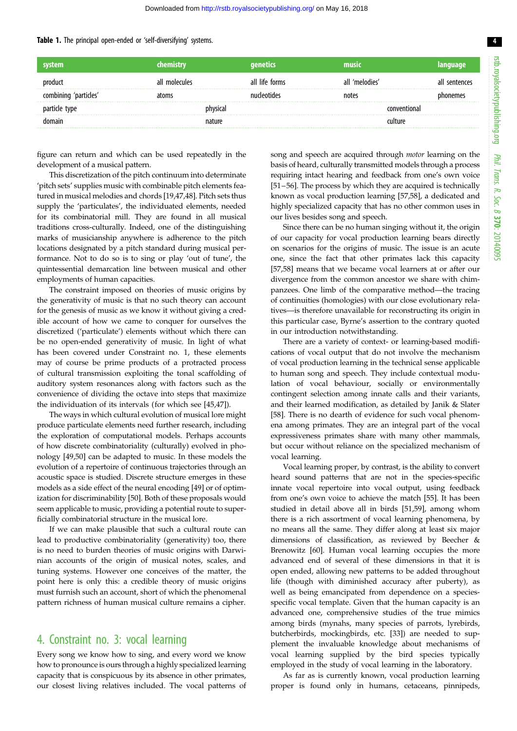<span id="page-3-0"></span>

|  |  |  |  |  | Table 1. The principal open-ended or 'self-diversifying' systems. |  |
|--|--|--|--|--|-------------------------------------------------------------------|--|
|--|--|--|--|--|-------------------------------------------------------------------|--|

|         |          |                | music |  |  |
|---------|----------|----------------|-------|--|--|
|         |          | all life forms |       |  |  |
|         | ιτoms    |                | notes |  |  |
| de type | ohvsical |                |       |  |  |
|         | nature   |                |       |  |  |

figure can return and which can be used repeatedly in the development of a musical pattern.

This discretization of the pitch continuum into determinate 'pitch sets' supplies music with combinable pitch elements featured in musical melodies and chords [\[19,47,48](#page-9-0)]. Pitch sets thus supply the 'particulates', the individuated elements, needed for its combinatorial mill. They are found in all musical traditions cross-culturally. Indeed, one of the distinguishing marks of musicianship anywhere is adherence to the pitch locations designated by a pitch standard during musical performance. Not to do so is to sing or play 'out of tune', the quintessential demarcation line between musical and other employments of human capacities.

The constraint imposed on theories of music origins by the generativity of music is that no such theory can account for the genesis of music as we know it without giving a credible account of how we came to conquer for ourselves the discretized ('particulate') elements without which there can be no open-ended generativity of music. In light of what has been covered under Constraint no. 1, these elements may of course be prime products of a protracted process of cultural transmission exploiting the tonal scaffolding of auditory system resonances along with factors such as the convenience of dividing the octave into steps that maximize the individuation of its intervals (for which see [[45,47\]](#page-9-0)).

The ways in which cultural evolution of musical lore might produce particulate elements need further research, including the exploration of computational models. Perhaps accounts of how discrete combinatoriality (culturally) evolved in phonology [[49,50\]](#page-9-0) can be adapted to music. In these models the evolution of a repertoire of continuous trajectories through an acoustic space is studied. Discrete structure emerges in these models as a side effect of the neural encoding [\[49](#page-9-0)] or of optimization for discriminability [\[50](#page-9-0)]. Both of these proposals would seem applicable to music, providing a potential route to superficially combinatorial structure in the musical lore.

If we can make plausible that such a cultural route can lead to productive combinatoriality (generativity) too, there is no need to burden theories of music origins with Darwinian accounts of the origin of musical notes, scales, and tuning systems. However one conceives of the matter, the point here is only this: a credible theory of music origins must furnish such an account, short of which the phenomenal pattern richness of human musical culture remains a cipher.

#### 4. Constraint no. 3: vocal learning

Every song we know how to sing, and every word we know how to pronounce is ours through a highly specialized learning capacity that is conspicuous by its absence in other primates, our closest living relatives included. The vocal patterns of song and speech are acquired through *motor* learning on the basis of heard, culturally transmitted models through a process requiring intact hearing and feedback from one's own voice [[51](#page-9-0)–[56\]](#page-9-0). The process by which they are acquired is technically known as vocal production learning [\[57,58](#page-9-0)], a dedicated and highly specialized capacity that has no other common uses in our lives besides song and speech.

Since there can be no human singing without it, the origin of our capacity for vocal production learning bears directly on scenarios for the origins of music. The issue is an acute one, since the fact that other primates lack this capacity [[57,58\]](#page-9-0) means that we became vocal learners at or after our divergence from the common ancestor we share with chimpanzees. One limb of the comparative method—the tracing of continuities (homologies) with our close evolutionary relatives—is therefore unavailable for reconstructing its origin in this particular case, Byrne's assertion to the contrary quoted in our introduction notwithstanding.

There are a variety of context- or learning-based modifications of vocal output that do not involve the mechanism of vocal production learning in the technical sense applicable to human song and speech. They include contextual modulation of vocal behaviour, socially or environmentally contingent selection among innate calls and their variants, and their learned modification, as detailed by Janik & Slater [[58\]](#page-9-0). There is no dearth of evidence for such vocal phenomena among primates. They are an integral part of the vocal expressiveness primates share with many other mammals, but occur without reliance on the specialized mechanism of vocal learning.

Vocal learning proper, by contrast, is the ability to convert heard sound patterns that are not in the species-specific innate vocal repertoire into vocal output, using feedback from one's own voice to achieve the match [\[55](#page-9-0)]. It has been studied in detail above all in birds [[51,59\]](#page-9-0), among whom there is a rich assortment of vocal learning phenomena, by no means all the same. They differ along at least six major dimensions of classification, as reviewed by Beecher & Brenowitz [[60\]](#page-9-0). Human vocal learning occupies the more advanced end of several of these dimensions in that it is open ended, allowing new patterns to be added throughout life (though with diminished accuracy after puberty), as well as being emancipated from dependence on a speciesspecific vocal template. Given that the human capacity is an advanced one, comprehensive studies of the true mimics among birds (mynahs, many species of parrots, lyrebirds, butcherbirds, mockingbirds, etc. [\[33](#page-9-0)]) are needed to supplement the invaluable knowledge about mechanisms of vocal learning supplied by the bird species typically employed in the study of vocal learning in the laboratory.

As far as is currently known, vocal production learning proper is found only in humans, cetaceans, pinnipeds,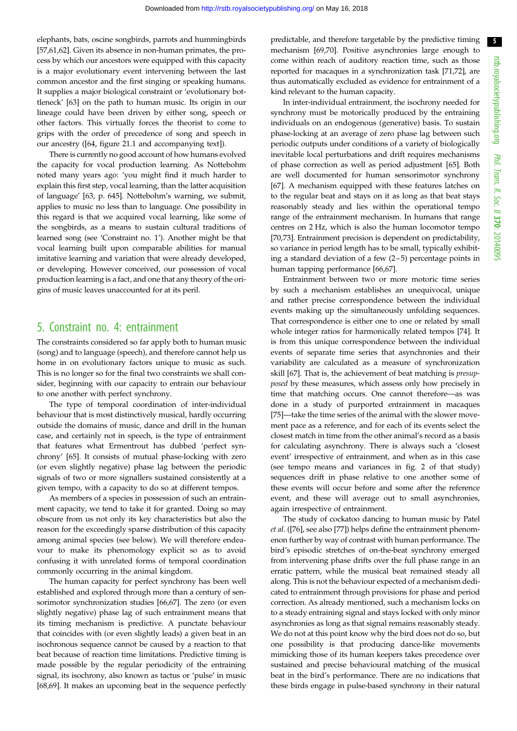elephants, bats, oscine songbirds, parrots and hummingbirds [\[57](#page-9-0),[61,62\]](#page-9-0). Given its absence in non-human primates, the process by which our ancestors were equipped with this capacity is a major evolutionary event intervening between the last common ancestor and the first singing or speaking humans. It supplies a major biological constraint or 'evolutionary bottleneck' [\[63](#page-9-0)] on the path to human music. Its origin in our lineage could have been driven by either song, speech or other factors. This virtually forces the theorist to come to grips with the order of precedence of song and speech in our ancestry ([[64](#page-10-0), figure 21.1 and accompanying text]).

There is currently no good account of how humans evolved the capacity for vocal production learning. As Nottebohm noted many years ago: 'you might find it much harder to explain this first step, vocal learning, than the latter acquisition of language' [\[63](#page-9-0), p. 645]. Nottebohm's warning, we submit, applies to music no less than to language. One possibility in this regard is that we acquired vocal learning, like some of the songbirds, as a means to sustain cultural traditions of learned song (see 'Constraint no. 1'). Another might be that vocal learning built upon comparable abilities for manual imitative learning and variation that were already developed, or developing. However conceived, our possession of vocal production learning is a fact, and one that any theory of the origins of music leaves unaccounted for at its peril.

#### 5. Constraint no. 4: entrainment

The constraints considered so far apply both to human music (song) and to language (speech), and therefore cannot help us home in on evolutionary factors unique to music as such. This is no longer so for the final two constraints we shall consider, beginning with our capacity to entrain our behaviour to one another with perfect synchrony.

The type of temporal coordination of inter-individual behaviour that is most distinctively musical, hardly occurring outside the domains of music, dance and drill in the human case, and certainly not in speech, is the type of entrainment that features what Ermentrout has dubbed 'perfect synchrony' [\[65](#page-10-0)]. It consists of mutual phase-locking with zero (or even slightly negative) phase lag between the periodic signals of two or more signallers sustained consistently at a given tempo, with a capacity to do so at different tempos.

As members of a species in possession of such an entrainment capacity, we tend to take it for granted. Doing so may obscure from us not only its key characteristics but also the reason for the exceedingly sparse distribution of this capacity among animal species (see below). We will therefore endeavour to make its phenomology explicit so as to avoid confusing it with unrelated forms of temporal coordination commonly occurring in the animal kingdom.

The human capacity for perfect synchrony has been well established and explored through more than a century of sensorimotor synchronization studies [[66,67\]](#page-10-0). The zero (or even slightly negative) phase lag of such entrainment means that its timing mechanism is predictive. A punctate behaviour that coincides with (or even slightly leads) a given beat in an isochronous sequence cannot be caused by a reaction to that beat because of reaction time limitations. Predictive timing is made possible by the regular periodicity of the entraining signal, its isochrony, also known as tactus or 'pulse' in music [\[68,69](#page-10-0)]. It makes an upcoming beat in the sequence perfectly

predictable, and therefore targetable by the predictive timing mechanism [\[69,70](#page-10-0)]. Positive asynchronies large enough to come within reach of auditory reaction time, such as those reported for macaques in a synchronization task [\[71,72](#page-10-0)], are thus automatically excluded as evidence for entrainment of a kind relevant to the human capacity.

In inter-individual entrainment, the isochrony needed for synchrony must be motorically produced by the entraining individuals on an endogenous (generative) basis. To sustain phase-locking at an average of zero phase lag between such periodic outputs under conditions of a variety of biologically inevitable local perturbations and drift requires mechanisms of phase correction as well as period adjustment [[65\]](#page-10-0). Both are well documented for human sensorimotor synchrony [[67\]](#page-10-0). A mechanism equipped with these features latches on to the regular beat and stays on it as long as that beat stays reasonably steady and lies within the operational tempo range of the entrainment mechanism. In humans that range centres on 2 Hz, which is also the human locomotor tempo [[70,73\]](#page-10-0). Entrainment precision is dependent on predictability, so variance in period length has to be small, typically exhibiting a standard deviation of a few  $(2-5)$  percentage points in human tapping performance [\[66](#page-10-0),[67\]](#page-10-0).

Entrainment between two or more motoric time series by such a mechanism establishes an unequivocal, unique and rather precise correspondence between the individual events making up the simultaneously unfolding sequences. That correspondence is either one to one or related by small whole integer ratios for harmonically related tempos [[74](#page-10-0)]. It is from this unique correspondence between the individual events of separate time series that asynchronies and their variability are calculated as a measure of synchronization skill [[67\]](#page-10-0). That is, the achievement of beat matching is presupposed by these measures, which assess only how precisely in time that matching occurs. One cannot therefore—as was done in a study of purported entrainment in macaques [[75\]](#page-10-0)—take the time series of the animal with the slower movement pace as a reference, and for each of its events select the closest match in time from the other animal's record as a basis for calculating asynchrony. There is always such a 'closest event' irrespective of entrainment, and when as in this case (see tempo means and variances in fig. 2 of that study) sequences drift in phase relative to one another some of these events will occur before and some after the reference event, and these will average out to small asynchronies, again irrespective of entrainment.

The study of cockatoo dancing to human music by Patel et al. ([[76\]](#page-10-0), see also [[77](#page-10-0)]) helps define the entrainment phenomenon further by way of contrast with human performance. The bird's episodic stretches of on-the-beat synchrony emerged from intervening phase drifts over the full phase range in an erratic pattern, while the musical beat remained steady all along. This is not the behaviour expected of a mechanism dedicated to entrainment through provisions for phase and period correction. As already mentioned, such a mechanism locks on to a steady entraining signal and stays locked with only minor asynchronies as long as that signal remains reasonably steady. We do not at this point know why the bird does not do so, but one possibility is that producing dance-like movements mimicking those of its human keepers takes precedence over sustained and precise behavioural matching of the musical beat in the bird's performance. There are no indications that these birds engage in pulse-based synchrony in their natural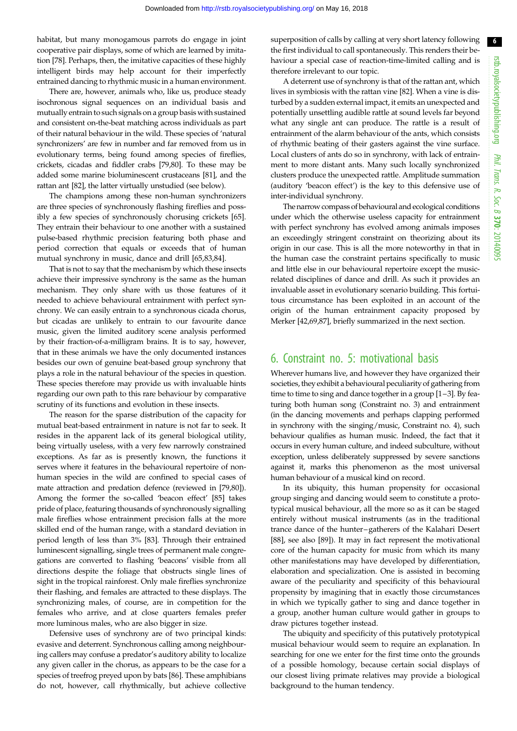habitat, but many monogamous parrots do engage in joint cooperative pair displays, some of which are learned by imitation [[78\]](#page-10-0). Perhaps, then, the imitative capacities of these highly intelligent birds may help account for their imperfectly entrained dancing to rhythmic music in a human environment.

There are, however, animals who, like us, produce steady isochronous signal sequences on an individual basis and mutually entrain to such signals on a group basis with sustained and consistent on-the-beat matching across individuals as part of their natural behaviour in the wild. These species of 'natural synchronizers' are few in number and far removed from us in evolutionary terms, being found among species of fireflies, crickets, cicadas and fiddler crabs [\[79,80\]](#page-10-0). To these may be added some marine bioluminescent crustaceans [\[81](#page-10-0)], and the rattan ant [\[82](#page-10-0)], the latter virtually unstudied (see below).

The champions among these non-human synchronizers are three species of synchronously flashing fireflies and possibly a few species of synchronously chorusing crickets [\[65](#page-10-0)]. They entrain their behaviour to one another with a sustained pulse-based rhythmic precision featuring both phase and period correction that equals or exceeds that of human mutual synchrony in music, dance and drill [\[65,83](#page-10-0),[84\]](#page-10-0).

That is not to say that the mechanism by which these insects achieve their impressive synchrony is the same as the human mechanism. They only share with us those features of it needed to achieve behavioural entrainment with perfect synchrony. We can easily entrain to a synchronous cicada chorus, but cicadas are unlikely to entrain to our favourite dance music, given the limited auditory scene analysis performed by their fraction-of-a-milligram brains. It is to say, however, that in these animals we have the only documented instances besides our own of genuine beat-based group synchrony that plays a role in the natural behaviour of the species in question. These species therefore may provide us with invaluable hints regarding our own path to this rare behaviour by comparative scrutiny of its functions and evolution in these insects.

The reason for the sparse distribution of the capacity for mutual beat-based entrainment in nature is not far to seek. It resides in the apparent lack of its general biological utility, being virtually useless, with a very few narrowly constrained exceptions. As far as is presently known, the functions it serves where it features in the behavioural repertoire of nonhuman species in the wild are confined to special cases of mate attraction and predation defence (reviewed in [\[79](#page-10-0),[80](#page-10-0)]). Among the former the so-called 'beacon effect' [[85\]](#page-10-0) takes pride of place, featuring thousands of synchronously signalling male fireflies whose entrainment precision falls at the more skilled end of the human range, with a standard deviation in period length of less than 3% [\[83](#page-10-0)]. Through their entrained luminescent signalling, single trees of permanent male congregations are converted to flashing 'beacons' visible from all directions despite the foliage that obstructs single lines of sight in the tropical rainforest. Only male fireflies synchronize their flashing, and females are attracted to these displays. The synchronizing males, of course, are in competition for the females who arrive, and at close quarters females prefer more luminous males, who are also bigger in size.

Defensive uses of synchrony are of two principal kinds: evasive and deterrent. Synchronous calling among neighbouring callers may confuse a predator's auditory ability to localize any given caller in the chorus, as appears to be the case for a species of treefrog preyed upon by bats [\[86](#page-10-0)]. These amphibians do not, however, call rhythmically, but achieve collective

superposition of calls by calling at very short latency following the first individual to call spontaneously. This renders their behaviour a special case of reaction-time-limited calling and is therefore irrelevant to our topic.

A deterrent use of synchrony is that of the rattan ant, which lives in symbiosis with the rattan vine [\[82\]](#page-10-0). When a vine is disturbed by a sudden external impact, it emits an unexpected and potentially unsettling audible rattle at sound levels far beyond what any single ant can produce. The rattle is a result of entrainment of the alarm behaviour of the ants, which consists of rhythmic beating of their gasters against the vine surface. Local clusters of ants do so in synchrony, with lack of entrainment to more distant ants. Many such locally synchronized clusters produce the unexpected rattle. Amplitude summation (auditory 'beacon effect') is the key to this defensive use of inter-individual synchrony.

The narrow compass of behavioural and ecological conditions under which the otherwise useless capacity for entrainment with perfect synchrony has evolved among animals imposes an exceedingly stringent constraint on theorizing about its origin in our case. This is all the more noteworthy in that in the human case the constraint pertains specifically to music and little else in our behavioural repertoire except the musicrelated disciplines of dance and drill. As such it provides an invaluable asset in evolutionary scenario building. This fortuitous circumstance has been exploited in an account of the origin of the human entrainment capacity proposed by Merker [\[42](#page-9-0)[,69](#page-10-0),[87](#page-10-0)], briefly summarized in the next section.

## 6. Constraint no. 5: motivational basis

Wherever humans live, and however they have organized their societies, they exhibit a behavioural peculiarity of gathering from time to time to sing and dance together in a group [[1](#page-8-0)–[3\]](#page-8-0). By featuring both human song (Constraint no. 3) and entrainment (in the dancing movements and perhaps clapping performed in synchrony with the singing/music, Constraint no. 4), such behaviour qualifies as human music. Indeed, the fact that it occurs in every human culture, and indeed subculture, without exception, unless deliberately suppressed by severe sanctions against it, marks this phenomenon as the most universal human behaviour of a musical kind on record.

In its ubiquity, this human propensity for occasional group singing and dancing would seem to constitute a prototypical musical behaviour, all the more so as it can be staged entirely without musical instruments (as in the traditional trance dance of the hunter –gatherers of the Kalahari Desert [[88\]](#page-10-0), see also [\[89](#page-10-0)]). It may in fact represent the motivational core of the human capacity for music from which its many other manifestations may have developed by differentiation, elaboration and specialization. One is assisted in becoming aware of the peculiarity and specificity of this behavioural propensity by imagining that in exactly those circumstances in which we typically gather to sing and dance together in a group, another human culture would gather in groups to draw pictures together instead.

The ubiquity and specificity of this putatively prototypical musical behaviour would seem to require an explanation. In searching for one we enter for the first time onto the grounds of a possible homology, because certain social displays of our closest living primate relatives may provide a biological background to the human tendency.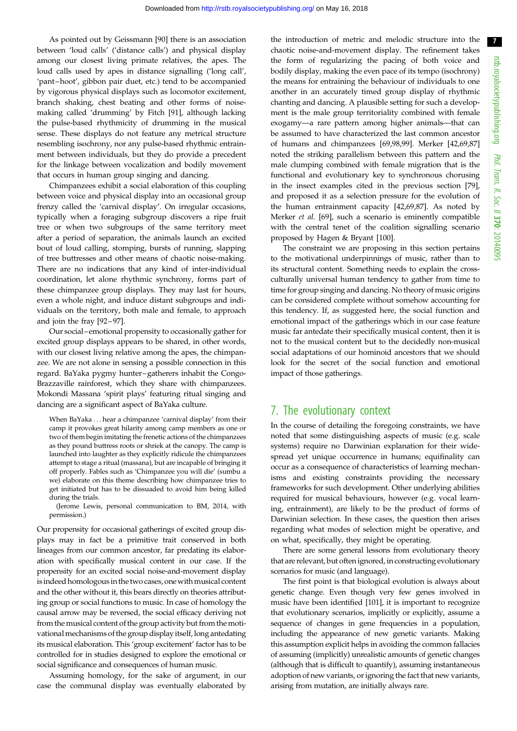As pointed out by Geissmann [[90\]](#page-10-0) there is an association between 'loud calls' ('distance calls') and physical display among our closest living primate relatives, the apes. The loud calls used by apes in distance signalling ('long call', 'pant–hoot', gibbon pair duet, etc.) tend to be accompanied by vigorous physical displays such as locomotor excitement, branch shaking, chest beating and other forms of noisemaking called 'drumming' by Fitch [[91\]](#page-10-0), although lacking the pulse-based rhythmicity of drumming in the musical sense. These displays do not feature any metrical structure resembling isochrony, nor any pulse-based rhythmic entrainment between individuals, but they do provide a precedent for the linkage between vocalization and bodily movement that occurs in human group singing and dancing.

Chimpanzees exhibit a social elaboration of this coupling between voice and physical display into an occasional group frenzy called the 'carnival display'. On irregular occasions, typically when a foraging subgroup discovers a ripe fruit tree or when two subgroups of the same territory meet after a period of separation, the animals launch an excited bout of loud calling, stomping, bursts of running, slapping of tree buttresses and other means of chaotic noise-making. There are no indications that any kind of inter-individual coordination, let alone rhythmic synchrony, forms part of these chimpanzee group displays. They may last for hours, even a whole night, and induce distant subgroups and individuals on the territory, both male and female, to approach and join the fray [[92](#page-10-0)–[97](#page-10-0)].

Our social–emotional propensity to occasionally gather for excited group displays appears to be shared, in other words, with our closest living relative among the apes, the chimpanzee. We are not alone in sensing a possible connection in this regard. BaYaka pygmy hunter–gatherers inhabit the Congo-Brazzaville rainforest, which they share with chimpanzees. Mokondi Massana 'spirit plays' featuring ritual singing and dancing are a significant aspect of BaYaka culture.

When BaYaka ... hear a chimpanzee 'carnival display' from their camp it provokes great hilarity among camp members as one or two of them begin imitating the frenetic actions of the chimpanzees as they pound buttress roots or shriek at the canopy. The camp is launched into laughter as they explicitly ridicule the chimpanzees attempt to stage a ritual (massana), but are incapable of bringing it off properly. Fables such as 'Chimpanzee you will die' (sumbu a we) elaborate on this theme describing how chimpanzee tries to get initiated but has to be dissuaded to avoid him being killed during the trials.

(Jerome Lewis, personal communication to BM, 2014, with permission.)

Our propensity for occasional gatherings of excited group displays may in fact be a primitive trait conserved in both lineages from our common ancestor, far predating its elaboration with specifically musical content in our case. If the propensity for an excited social noise-and-movement display isindeed homologousin the two cases, onewith musical content and the other without it, this bears directly on theories attributing group or social functions to music. In case of homology the causal arrow may be reversed, the social efficacy deriving not from the musical content of the group activity but from the motivational mechanisms of the group display itself, long antedating its musical elaboration. This 'group excitement' factor has to be controlled for in studies designed to explore the emotional or social significance and consequences of human music.

Assuming homology, for the sake of argument, in our case the communal display was eventually elaborated by the introduction of metric and melodic structure into the chaotic noise-and-movement display. The refinement takes the form of regularizing the pacing of both voice and bodily display, making the even pace of its tempo (isochrony) the means for entraining the behaviour of individuals to one another in an accurately timed group display of rhythmic chanting and dancing. A plausible setting for such a development is the male group territoriality combined with female exogamy—a rare pattern among higher animals—that can be assumed to have characterized the last common ancestor of humans and chimpanzees [\[69](#page-10-0),[98,99\]](#page-10-0). Merker [\[42](#page-9-0),[69,87\]](#page-10-0) noted the striking parallelism between this pattern and the male clumping combined with female migration that is the functional and evolutionary key to synchronous chorusing in the insect examples cited in the previous section [[79\]](#page-10-0), and proposed it as a selection pressure for the evolution of the human entrainment capacity [[42,](#page-9-0)[69,87](#page-10-0)]. As noted by Merker et al. [\[69](#page-10-0)], such a scenario is eminently compatible with the central tenet of the coalition signalling scenario proposed by Hagen & Bryant [[100](#page-10-0)].

The constraint we are proposing in this section pertains to the motivational underpinnings of music, rather than to its structural content. Something needs to explain the crossculturally universal human tendency to gather from time to time for group singing and dancing. No theory of music origins can be considered complete without somehow accounting for this tendency. If, as suggested here, the social function and emotional impact of the gatherings which in our case feature music far antedate their specifically musical content, then it is not to the musical content but to the decidedly non-musical social adaptations of our hominoid ancestors that we should look for the secret of the social function and emotional impact of those gatherings.

#### 7. The evolutionary context

In the course of detailing the foregoing constraints, we have noted that some distinguishing aspects of music (e.g. scale systems) require no Darwinian explanation for their widespread yet unique occurrence in humans; equifinality can occur as a consequence of characteristics of learning mechanisms and existing constraints providing the necessary frameworks for such development. Other underlying abilities required for musical behaviours, however (e.g. vocal learning, entrainment), are likely to be the product of forms of Darwinian selection. In these cases, the question then arises regarding what modes of selection might be operative, and on what, specifically, they might be operating.

There are some general lessons from evolutionary theory that are relevant, but often ignored, in constructing evolutionary scenarios for music (and language).

The first point is that biological evolution is always about genetic change. Even though very few genes involved in music have been identified [[101](#page-10-0)], it is important to recognize that evolutionary scenarios, implicitly or explicitly, assume a sequence of changes in gene frequencies in a population, including the appearance of new genetic variants. Making this assumption explicit helps in avoiding the common fallacies of assuming (implicitly) unrealistic amounts of genetic changes (although that is difficult to quantify), assuming instantaneous adoption of new variants, or ignoring the fact that new variants, arising from mutation, are initially always rare.

7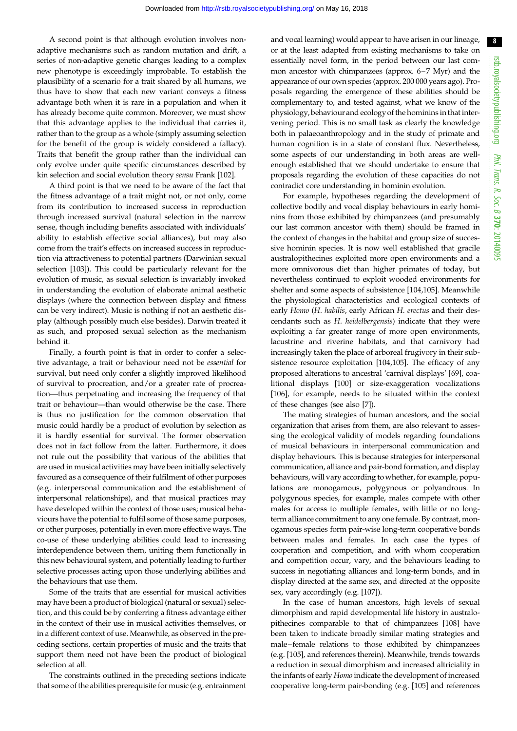A second point is that although evolution involves nonadaptive mechanisms such as random mutation and drift, a series of non-adaptive genetic changes leading to a complex new phenotype is exceedingly improbable. To establish the plausibility of a scenario for a trait shared by all humans, we thus have to show that each new variant conveys a fitness advantage both when it is rare in a population and when it has already become quite common. Moreover, we must show that this advantage applies to the individual that carries it, rather than to the group as a whole (simply assuming selection for the benefit of the group is widely considered a fallacy). Traits that benefit the group rather than the individual can only evolve under quite specific circumstances described by kin selection and social evolution theory sensu Frank [\[102\]](#page-10-0).

A third point is that we need to be aware of the fact that the fitness advantage of a trait might not, or not only, come from its contribution to increased success in reproduction through increased survival (natural selection in the narrow sense, though including benefits associated with individuals' ability to establish effective social alliances), but may also come from the trait's effects on increased success in reproduction via attractiveness to potential partners (Darwinian sexual selection [[103](#page-10-0)]). This could be particularly relevant for the evolution of music, as sexual selection is invariably invoked in understanding the evolution of elaborate animal aesthetic displays (where the connection between display and fitness can be very indirect). Music is nothing if not an aesthetic display (although possibly much else besides). Darwin treated it as such, and proposed sexual selection as the mechanism behind it.

Finally, a fourth point is that in order to confer a selective advantage, a trait or behaviour need not be essential for survival, but need only confer a slightly improved likelihood of survival to procreation, and/or a greater rate of procreation—thus perpetuating and increasing the frequency of that trait or behaviour—than would otherwise be the case. There is thus no justification for the common observation that music could hardly be a product of evolution by selection as it is hardly essential for survival. The former observation does not in fact follow from the latter. Furthermore, it does not rule out the possibility that various of the abilities that are used in musical activities may have been initially selectively favoured as a consequence of their fulfilment of other purposes (e.g. interpersonal communication and the establishment of interpersonal relationships), and that musical practices may have developed within the context of those uses; musical behaviours have the potential to fulfil some of those same purposes, or other purposes, potentially in even more effective ways. The co-use of these underlying abilities could lead to increasing interdependence between them, uniting them functionally in this new behavioural system, and potentially leading to further selective processes acting upon those underlying abilities and the behaviours that use them.

Some of the traits that are essential for musical activities may have been a product of biological (natural or sexual) selection, and this could be by conferring a fitness advantage either in the context of their use in musical activities themselves, or in a different context of use. Meanwhile, as observed in the preceding sections, certain properties of music and the traits that support them need not have been the product of biological selection at all.

The constraints outlined in the preceding sections indicate that some of the abilities prerequisite for music (e.g. entrainment and vocal learning) would appear to have arisen in our lineage, or at the least adapted from existing mechanisms to take on essentially novel form, in the period between our last common ancestor with chimpanzees (approx. 6–7 Myr) and the appearance of our own species (approx. 200 000 years ago). Proposals regarding the emergence of these abilities should be complementary to, and tested against, what we know of the physiology, behaviour and ecology of the hominins in that intervening period. This is no small task as clearly the knowledge both in palaeoanthropology and in the study of primate and human cognition is in a state of constant flux. Nevertheless, some aspects of our understanding in both areas are wellenough established that we should undertake to ensure that proposals regarding the evolution of these capacities do not contradict core understanding in hominin evolution.

For example, hypotheses regarding the development of collective bodily and vocal display behaviours in early hominins from those exhibited by chimpanzees (and presumably our last common ancestor with them) should be framed in the context of changes in the habitat and group size of successive hominin species. It is now well established that gracile australopithecines exploited more open environments and a more omnivorous diet than higher primates of today, but nevertheless continued to exploit wooded environments for shelter and some aspects of subsistence [[104,105\]](#page-10-0). Meanwhile the physiological characteristics and ecological contexts of early Homo (H. habilis, early African H. erectus and their descendants such as H. heidelbergensis) indicate that they were exploiting a far greater range of more open environments, lacustrine and riverine habitats, and that carnivory had increasingly taken the place of arboreal frugivory in their subsistence resource exploitation [\[104,105](#page-10-0)]. The efficacy of any proposed alterations to ancestral 'carnival displays' [[69\]](#page-10-0), coalitional displays [\[100\]](#page-10-0) or size-exaggeration vocalizations [[106](#page-10-0)], for example, needs to be situated within the context of these changes (see also [\[7\]](#page-8-0)).

The mating strategies of human ancestors, and the social organization that arises from them, are also relevant to assessing the ecological validity of models regarding foundations of musical behaviours in interpersonal communication and display behaviours. This is because strategies for interpersonal communication, alliance and pair-bond formation, and display behaviours, will vary according to whether, for example, populations are monogamous, polygynous or polyandrous. In polygynous species, for example, males compete with other males for access to multiple females, with little or no longterm alliance commitment to any one female. By contrast, monogamous species form pair-wise long-term cooperative bonds between males and females. In each case the types of cooperation and competition, and with whom cooperation and competition occur, vary, and the behaviours leading to success in negotiating alliances and long-term bonds, and in display directed at the same sex, and directed at the opposite sex, vary accordingly (e.g. [[107](#page-10-0)]).

In the case of human ancestors, high levels of sexual dimorphism and rapid developmental life history in australopithecines comparable to that of chimpanzees [[108](#page-10-0)] have been taken to indicate broadly similar mating strategies and male– female relations to those exhibited by chimpanzees (e.g. [\[105\]](#page-10-0), and references therein). Meanwhile, trends towards a reduction in sexual dimorphism and increased altriciality in the infants of early Homo indicate the development of increased cooperative long-term pair-bonding (e.g. [\[105](#page-10-0)] and references

8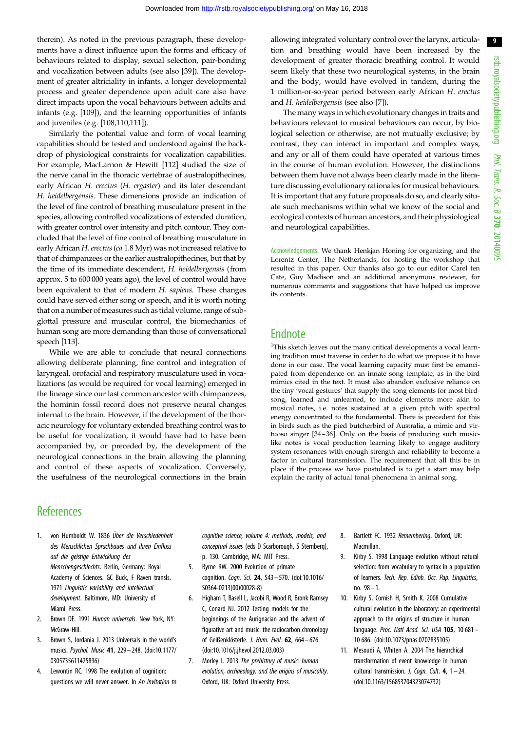<span id="page-8-0"></span>therein). As noted in the previous paragraph, these developments have a direct influence upon the forms and efficacy of behaviours related to display, sexual selection, pair-bonding and vocalization between adults (see also [\[39](#page-9-0)]). The development of greater altriciality in infants, a longer developmental process and greater dependence upon adult care also have direct impacts upon the vocal behaviours between adults and infants (e.g. [\[109\]](#page-10-0)), and the learning opportunities of infants and juveniles (e.g. [\[108,110](#page-10-0),[111\]](#page-10-0)).

Similarly the potential value and form of vocal learning capabilities should be tested and understood against the backdrop of physiological constraints for vocalization capabilities. For example, MacLarnon & Hewitt [\[112\]](#page-10-0) studied the size of the nerve canal in the thoracic vertebrae of australopithecines, early African H. erectus (H. ergaster) and its later descendant H. heidelbergensis. These dimensions provide an indication of the level of fine control of breathing musculature present in the species, allowing controlled vocalizations of extended duration, with greater control over intensity and pitch contour. They concluded that the level of fine control of breathing musculature in early African H. erectus (ca 1.8 Myr) was not increased relative to that of chimpanzees or the earlier australopithecines, but that by the time of its immediate descendent, H. heidelbergensis (from approx. 5 to 600 000 years ago), the level of control would have been equivalent to that of modern H. sapiens. These changes could have served either song or speech, and it is worth noting that on a number of measures such as tidal volume, range of subglottal pressure and muscular control, the biomechanics of human song are more demanding than those of conversational speech [\[113\]](#page-10-0).

While we are able to conclude that neural connections allowing deliberate planning, fine control and integration of laryngeal, orofacial and respiratory musculature used in vocalizations (as would be required for vocal learning) emerged in the lineage since our last common ancestor with chimpanzees, the hominin fossil record does not preserve neural changes internal to the brain. However, if the development of the thoracic neurology for voluntary extended breathing control was to be useful for vocalization, it would have had to have been accompanied by, or preceded by, the development of the neurological connections in the brain allowing the planning and control of these aspects of vocalization. Conversely, the usefulness of the neurological connections in the brain

allowing integrated voluntary control over the larynx, articulation and breathing would have been increased by the development of greater thoracic breathing control. It would seem likely that these two neurological systems, in the brain and the body, would have evolved in tandem, during the 1 million-or-so-year period between early African H. erectus and H. heidelbergensis (see also [7]).

The many ways in which evolutionary changes in traits and behaviours relevant to musical behaviours can occur, by biological selection or otherwise, are not mutually exclusive; by contrast, they can interact in important and complex ways, and any or all of them could have operated at various times in the course of human evolution. However, the distinctions between them have not always been clearly made in the literature discussing evolutionary rationales for musical behaviours. It is important that any future proposals do so, and clearly situate such mechanisms within what we know of the social and ecological contexts of human ancestors, and their physiological and neurological capabilities.

Acknowledgements. We thank Henkjan Honing for organizing, and the Lorentz Center, The Netherlands, for hosting the workshop that resulted in this paper. Our thanks also go to our editor Carel ten Cate, Guy Madison and an additional anonymous reviewer, for numerous comments and suggestions that have helped us improve its contents.

### Endnote

<sup>1</sup>This sketch leaves out the many critical developments a vocal learning tradition must traverse in order to do what we propose it to have done in our case. The vocal learning capacity must first be emancipated from dependence on an innate song template, as in the bird mimics cited in the text. It must also abandon exclusive reliance on the tiny 'vocal gestures' that supply the song elements for most birdsong, learned and unlearned, to include elements more akin to musical notes, i.e. notes sustained at a given pitch with spectral energy concentrated to the fundamental. There is precedent for this in birds such as the pied butcherbird of Australia, a mimic and vir-tuoso singer [[34](#page-9-0)–36]. Only on the basis of producing such musiclike notes is vocal production learning likely to engage auditory system resonances with enough strength and reliability to become a factor in cultural transmission. The requirement that all this be in place if the process we have postulated is to get a start may help explain the rarity of actual tonal phenomena in animal song.

# **References**

- 1. von Humboldt W. 1836 Über die Verschiedenheit des Menschlichen Sprachbaues und ihren Einfluss auf die geistige Entwicklung des Menschengeschlechts. Berlin, Germany: Royal Academy of Sciences. GC Buck, F Raven transls. 1971 Linguistic variability and intellectual development. Baltimore, MD: University of Miami Press.
- 2. Brown DE. 1991 Human universals. New York, NY: McGraw-Hill.
- 3. Brown S, Jordania J. 2013 Universals in the world's musics. Psychol. Music 41, 229– 248. ([doi:10.1177/](http://dx.doi.org/10.1177/0305735611425896) [0305735611425896](http://dx.doi.org/10.1177/0305735611425896))
- 4. Lewontin RC. 1998 The evolution of cognition: questions we will never answer. In An invitation to

cognitive science, volume 4: methods, models, and conceptual issues (eds D Scarborough, S Sternberg), p. 130. Cambridge, MA: MIT Press.

- 5. Byrne RW. 2000 Evolution of primate cognition. Cogn. Sci. 24, 543 – 570. [\(doi:10.1016/](http://dx.doi.org/10.1016/S0364-0213(00)00028-8) [S0364-0213\(00\)00028-8](http://dx.doi.org/10.1016/S0364-0213(00)00028-8))
- 6. Higham T, Basell L, Jacobi R, Wood R, Bronk Ramsey C, Conard NJ. 2012 Testing models for the beginnings of the Aurignacian and the advent of figurative art and music: the radiocarbon chronology of Geißenklösterle. J. Hum. Evol.  $62$ ,  $664-676$ . [\(doi:10.1016/j.jhevol.2012.03.003\)](http://dx.doi.org/10.1016/j.jhevol.2012.03.003)
- 7. Morley I. 2013 The prehistory of music: human evolution, archaeology, and the origins of musicality. Oxford, UK: Oxford University Press.
- 8. Bartlett FC. 1932 Remembering. Oxford, UK: Macmillan.
- 9. Kirby S. 1998 Language evolution without natural selection: from vocabulary to syntax in a population of learners. Tech. Rep. Edinb. Occ. Pap. Linguistics, no. 98– 1.
- 10. Kirby S, Cornish H, Smith K. 2008 Cumulative cultural evolution in the laboratory: an experimental approach to the origins of structure in human language. Proc. Natl Acad. Sci. USA 105, 10 681-10 686. [\(doi:10.1073/pnas.0707835105](http://dx.doi.org/10.1073/pnas.0707835105))
- 11. Mesoudi A, Whiten A. 2004 The hierarchical transformation of event knowledge in human cultural transmission. *J. Cogn. Cult.* **4**,  $1 - 24$ . ([doi:10.1163/156853704323074732](http://dx.doi.org/10.1163/156853704323074732))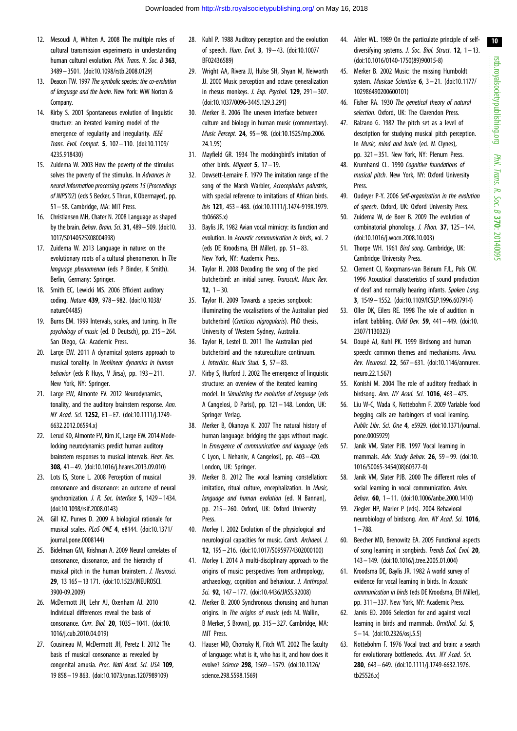- <span id="page-9-0"></span>12. Mesoudi A, Whiten A. 2008 The multiple roles of cultural transmission experiments in understanding human cultural evolution. Phil. Trans. R. Soc. B 363, 3489 – 3501. [\(doi:10.1098/rstb.2008.0129\)](http://dx.doi.org/10.1098/rstb.2008.0129)
- 13. Deacon TW. 1997 The symbolic species: the co-evolution of language and the brain. New York: WW Norton & Company.
- 14. Kirby S. 2001 Spontaneous evolution of linguistic structure: an iterated learning model of the emergence of regularity and irregularity. IEEE Trans. Evol. Comput. 5, 102– 110. ([doi:10.1109/](http://dx.doi.org/10.1109/4235.918430) [4235.918430\)](http://dx.doi.org/10.1109/4235.918430)
- 15. Zuidema W. 2003 How the poverty of the stimulus solves the poverty of the stimulus. In Advances in neural information processing systems 15(Proceedings of NIPS'02) (eds S Becker, S Thrun, K Obermayer), pp. 51 – 58. Cambridge, MA: MIT Press.
- 16. Christiansen MH, Chater N. 2008 Language as shaped by the brain. Behav. Brain. Sci. 31, 489–509. ([doi:10.](http://dx.doi.org/10.1017/S0140525X08004998) [1017/S0140525X08004998](http://dx.doi.org/10.1017/S0140525X08004998))
- 17. Zuidema W. 2013 Language in nature: on the evolutionary roots of a cultural phenomenon. In The language phenomenon (eds P Binder, K Smith). Berlin, Germany: Springer.
- 18. Smith EC, Lewicki MS. 2006 Efficient auditory coding. Nature 439, 978 – 982. [\(doi:10.1038/](http://dx.doi.org/10.1038/nature04485) [nature04485](http://dx.doi.org/10.1038/nature04485))
- 19. Burns EM. 1999 Intervals, scales, and tuning. In The psychology of music (ed. D Deutsch), pp. 215– 264. San Diego, CA: Academic Press.
- 20. Large EW. 2011 A dynamical systems approach to musical tonality. In Nonlinear dynamics in human behavior (eds R Huys, V Jirsa), pp. 193– 211. New York, NY: Springer.
- 21. Large EW, Almonte FV. 2012 Neurodynamics, tonality, and the auditory brainstem response. Ann. NY Acad. Sci. 1252, E1 – E7. ([doi:10.1111/j.1749-](http://dx.doi.org/10.1111/j.1749-6632.2012.06594.x) [6632.2012.06594.x](http://dx.doi.org/10.1111/j.1749-6632.2012.06594.x))
- 22. Lerud KD, Almonte FV, Kim JC, Large EW. 2014 Modelocking neurodynamics predict human auditory brainstem responses to musical intervals. Hear. Res. 308, 41–49. [\(doi:10.1016/j.heares.2013.09.010\)](http://dx.doi.org/10.1016/j.heares.2013.09.010)
- 23. Lots IS, Stone L. 2008 Perception of musical consonance and dissonance: an outcome of neural synchronization. J. R. Soc. Interface 5, 1429-1434. [\(doi:10.1098/rsif.2008.0143\)](http://dx.doi.org/10.1098/rsif.2008.0143)
- 24. Gill KZ, Purves D. 2009 A biological rationale for musical scales. PLoS ONE 4, e8144. ([doi:10.1371/](http://dx.doi.org/10.1371/journal.pone.0008144) [journal.pone.0008144\)](http://dx.doi.org/10.1371/journal.pone.0008144)
- 25. Bidelman GM, Krishnan A. 2009 Neural correlates of consonance, dissonance, and the hierarchy of musical pitch in the human brainstem. J. Neurosci. 29, 13 165– 13 171. ([doi:10.1523/JNEUROSCI.](http://dx.doi.org/10.1523/JNEUROSCI.3900-09.2009) [3900-09.2009\)](http://dx.doi.org/10.1523/JNEUROSCI.3900-09.2009)
- 26. McDermott JH, Lehr AJ, Oxenham AJ. 2010 Individual differences reveal the basis of consonance. Curr. Biol. 20, 1035– 1041. [\(doi:10.](http://dx.doi.org/10.1016/j.cub.2010.04.019) [1016/j.cub.2010.04.019\)](http://dx.doi.org/10.1016/j.cub.2010.04.019)
- 27. Cousineau M, McDermott JH, Peretz I. 2012 The basis of musical consonance as revealed by congenital amusia. Proc. Natl Acad. Sci. USA 109, 19 858– 19 863. ([doi:10.1073/pnas.1207989109](http://dx.doi.org/10.1073/pnas.1207989109))
- 28. Kuhl P. 1988 Auditory perception and the evolution of speech. Hum. Evol. 3, 19– 43. ([doi:10.1007/](http://dx.doi.org/10.1007/BF02436589) [BF02436589\)](http://dx.doi.org/10.1007/BF02436589)
- 29. Wright AA, Rivera JJ, Hulse SH, Shyan M, Neiworth JJ. 2000 Music perception and octave generalization in rhesus monkeys. J. Exp. Psychol. 129, 291– 307. [\(doi:10.1037/0096-3445.129.3.291\)](http://dx.doi.org/10.1037/0096-3445.129.3.291)
- 30. Merker B. 2006 The uneven interface between culture and biology in human music (commentary). Music Percept. 24, 95 – 98. [\(doi:10.1525/mp.2006.](http://dx.doi.org/10.1525/mp.2006.24.1.95) [24.1.95](http://dx.doi.org/10.1525/mp.2006.24.1.95))
- 31. Mayfield GR. 1934 The mockingbird's imitation of other birds. Migrant 5,  $17 - 19$ .
- 32. Dowsett-Lemaire F. 1979 The imitation range of the song of the Marsh Warbler, Acrocephalus palustris, with special reference to imitations of African birds. Ibis 121, 453 – 468. ([doi:10.1111/j.1474-919X.1979.](http://dx.doi.org/10.1111/j.1474-919X.1979.tb06685.x) [tb06685.x](http://dx.doi.org/10.1111/j.1474-919X.1979.tb06685.x))
- 33. Baylis JR. 1982 Avian vocal mimicry: its function and evolution. In Acoustic communication in birds, vol. 2 (eds DE Kroodsma, EH Miller), pp. 51 – 83. New York, NY: Academic Press.
- 34. Taylor H. 2008 Decoding the song of the pied butcherbird: an initial survey. Transcult. Music Rev. 12,  $1 - 30$ .
- 35. Taylor H. 2009 Towards a species songbook: illuminating the vocalisations of the Australian pied butcherbird (Cracticus nigrogularis). PhD thesis, University of Western Sydney, Australia.
- 36. Taylor H, Lestel D. 2011 The Australian pied butcherbird and the natureculture continuum. J. Interdisc. Music Stud. 5, 57 – 83.
- 37. Kirby S, Hurford J. 2002 The emergence of linguistic structure: an overview of the iterated learning model. In Simulating the evolution of language (eds A Cangelosi, D Parisi), pp. 121 – 148. London, UK: Springer Verlag.
- 38. Merker B, Okanoya K. 2007 The natural history of human language: bridging the gaps without magic. In Emergence of communication and language (eds C Lyon, L Nehaniv, A Cangelosi), pp. 403– 420. London, UK: Springer.
- 39. Merker B. 2012 The vocal learning constellation: imitation, ritual culture, encephalization. In Music, language and human evolution (ed. N Bannan), pp. 215– 260. Oxford, UK: Oxford University Press.
- 40. Morley I. 2002 Evolution of the physiological and neurological capacities for music. Camb. Archaeol. J. 12, 195– 216. ([doi:10.1017/S0959774302000100](http://dx.doi.org/10.1017/S0959774302000100))
- 41. Morley I. 2014 A multi-disciplinary approach to the origins of music: perspectives from anthropology, archaeology, cognition and behaviour. J. Anthropol. Sci. 92, 147 – 177. [\(doi:10.4436/JASS.92008](http://dx.doi.org/10.4436/JASS.92008))
- 42. Merker B. 2000 Synchronous chorusing and human origins. In The origins of music (eds NL Wallin, B Merker, S Brown), pp. 315 – 327. Cambridge, MA: MIT Press.
- 43. Hauser MD, Chomsky N, Fitch WT. 2002 The faculty of language: what is it, who has it, and how does it evolve? Science 298, 1569 – 1579. [\(doi:10.1126/](http://dx.doi.org/10.1126/science.298.5598.1569) [science.298.5598.1569](http://dx.doi.org/10.1126/science.298.5598.1569))
- 44. Abler WL. 1989 On the particulate principle of selfdiversifying systems. *J. Soc. Biol. Struct.* **12**,  $1 - 13$ . ([doi:10.1016/0140-1750\(89\)90015-8\)](http://dx.doi.org/10.1016/0140-1750(89)90015-8)
- 45. Merker B. 2002 Music: the missing Humboldt system. Musicae Scientiae 6, 3 – 21. [\(doi:10.1177/](http://dx.doi.org/10.1177/102986490200600101) [102986490200600101](http://dx.doi.org/10.1177/102986490200600101))
- 46. Fisher RA. 1930 The genetical theory of natural selection. Oxford, UK: The Clarendon Press.
- 47. Balzano G. 1982 The pitch set as a level of description for studying musical pitch perception. In Music, mind and brain (ed. M Clynes), pp. 321– 351. New York, NY: Plenum Press.
- 48. Krumhansl CL. 1990 Cognitive foundations of musical pitch. New York, NY: Oxford University Press.
- 49. Oudeyer P-Y. 2006 Self-organization in the evolution of speech. Oxford, UK: Oxford University Press.
- 50. Zuidema W, de Boer B. 2009 The evolution of combinatorial phonology. J. Phon. 37, 125– 144. ([doi:10.1016/j.wocn.2008.10.003\)](http://dx.doi.org/10.1016/j.wocn.2008.10.003)
- 51. Thorpe WH. 1961 Bird song. Cambridge, UK: Cambridge University Press.
- 52. Clement CJ, Koopmans-van Beinum FJL, Pols CW. 1996 Acoustical characteristics of sound production of deaf and normally hearing infants. Spoken Lang. 3, 1549– 1552. [\(doi:10.1109/ICSLP.1996.607914](http://dx.doi.org/10.1109/ICSLP.1996.607914))
- 53. Oller DK, Eilers RE. 1998 The role of audition in infant babbling. Child Dev.  $59.441 - 449.$  [\(doi:10.](http://dx.doi.org/10.2307/1130323) [2307/1130323](http://dx.doi.org/10.2307/1130323))
- 54. Doupé AJ, Kuhl PK. 1999 Birdsong and human speech: common themes and mechanisms. Annu. Rev. Neurosci. 22, 567 – 631. [\(doi:10.1146/annurev.](http://dx.doi.org/10.1146/annurev.neuro.22.1.567) [neuro.22.1.567\)](http://dx.doi.org/10.1146/annurev.neuro.22.1.567)
- 55. Konishi M. 2004 The role of auditory feedback in birdsong. Ann. NY Acad. Sci. **1016**, 463-475.
- 56. Liu W-C, Wada K, Nottebohm F. 2009 Variable food begging calls are harbingers of vocal learning. Public Libr. Sci. One 4, e5929. [\(doi:10.1371/journal.](http://dx.doi.org/10.1371/journal.pone.0005929) [pone.0005929\)](http://dx.doi.org/10.1371/journal.pone.0005929)
- 57. Janik VM, Slater PJB. 1997 Vocal learning in mammals. Adv. Study Behav. 26, 59-99. [\(doi:10.](http://dx.doi.org/10.1016/S0065-3454(08)60377-0) [1016/S0065-3454\(08\)60377-0](http://dx.doi.org/10.1016/S0065-3454(08)60377-0))
- 58. Janik VM, Slater PJB. 2000 The different roles of social learning in vocal communication. Anim. Behav. 60, 1– 11. [\(doi:10.1006/anbe.2000.1410\)](http://dx.doi.org/10.1006/anbe.2000.1410)
- 59. Ziegler HP, Marler P (eds). 2004 Behavioral neurobiology of birdsong. Ann. NY Acad. Sci. 1016,  $1 - 788$ .
- 60. Beecher MD, Brenowitz EA. 2005 Functional aspects of song learning in songbirds. Trends Ecol. Evol. 20, 143– 149. [\(doi:10.1016/j.tree.2005.01.004](http://dx.doi.org/10.1016/j.tree.2005.01.004))
- 61. Kroodsma DE, Baylis JR. 1982 A world survey of evidence for vocal learning in birds. In Acoustic communication in birds (eds DE Kroodsma, EH Miller), pp. 311–337. New York, NY: Academic Press.
- 62. Jarvis ED. 2006 Selection for and against vocal learning in birds and mammals. Ornithol. Sci. 5, 5– 14. [\(doi:10.2326/osj.5.5](http://dx.doi.org/10.2326/osj.5.5))
- 63. Nottebohm F. 1976 Vocal tract and brain: a search for evolutionary bottlenecks. Ann. NY Acad. Sci. 280, 643– 649. [\(doi:10.1111/j.1749-6632.1976.](http://dx.doi.org/10.1111/j.1749-6632.1976.tb25526.x) [tb25526.x](http://dx.doi.org/10.1111/j.1749-6632.1976.tb25526.x))